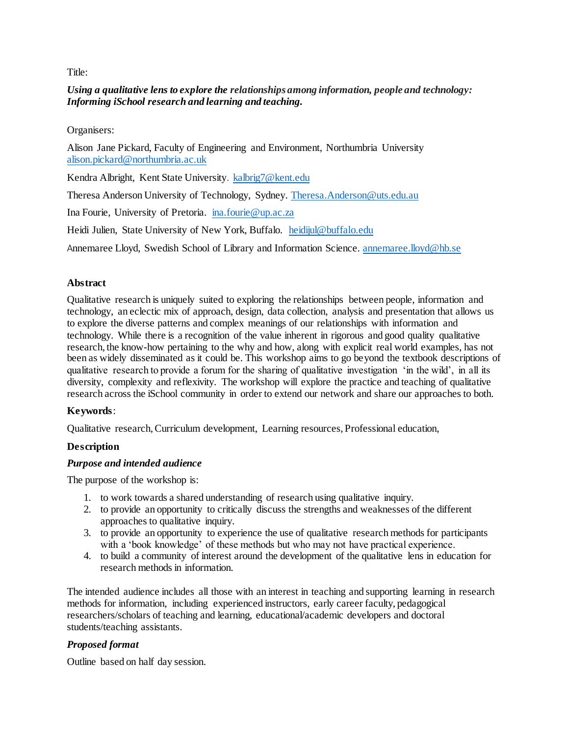Title:

# *Using a qualitative lens to explore the relationships among information, people and technology: Informing iSchool research and learning and teaching.*

Organisers:

Alison Jane Pickard, Faculty of Engineering and Environment, Northumbria University [alison.pickard@northumbria.ac.uk](mailto:alison.pickard@northumbria.ac.uk)

Kendra Albright, Kent State University. [kalbrig7@kent.edu](mailto:kalbrig7@kent.edu)

Theresa Anderson University of Technology, Sydney. [Theresa.Anderson@uts.edu.au](mailto:Theresa.Anderson@uts.edu.au)

Ina Fourie, University of Pretoria. [ina.fourie@up.ac.za](mailto:ina.fourie@up.ac.za)

Heidi Julien, State University of New York, Buffalo. [heidijul@buffalo.edu](mailto:heidijul@buffalo.edu)

Annemaree Lloyd, Swedish School of Library and Information Science. [annemaree.lloyd@hb.se](mailto:annemaree.lloyd@hb.se)

## **Abstract**

Qualitative research is uniquely suited to exploring the relationships between people, information and technology, an eclectic mix of approach, design, data collection, analysis and presentation that allows us to explore the diverse patterns and complex meanings of our relationships with information and technology. While there is a recognition of the value inherent in rigorous and good quality qualitative research, the know-how pertaining to the why and how, along with explicit real world examples, has not been as widely disseminated as it could be. This workshop aims to go beyond the textbook descriptions of qualitative research to provide a forum for the sharing of qualitative investigation 'in the wild', in all its diversity, complexity and reflexivity. The workshop will explore the practice and teaching of qualitative research across the iSchool community in order to extend our network and share our approaches to both.

### **Keywords**:

Qualitative research, Curriculum development, Learning resources, Professional education,

# **Description**

## *Purpose and intended audience*

The purpose of the workshop is:

- 1. to work towards a shared understanding of research using qualitative inquiry.
- 2. to provide an opportunity to critically discuss the strengths and weaknesses of the different approaches to qualitative inquiry.
- 3. to provide an opportunity to experience the use of qualitative research methods for participants with a 'book knowledge' of these methods but who may not have practical experience.
- 4. to build a community of interest around the development of the qualitative lens in education for research methods in information.

The intended audience includes all those with an interest in teaching and supporting learning in research methods for information, including experienced instructors, early career faculty, pedagogical researchers/scholars of teaching and learning, educational/academic developers and doctoral students/teaching assistants.

### *Proposed format*

Outline based on half day session.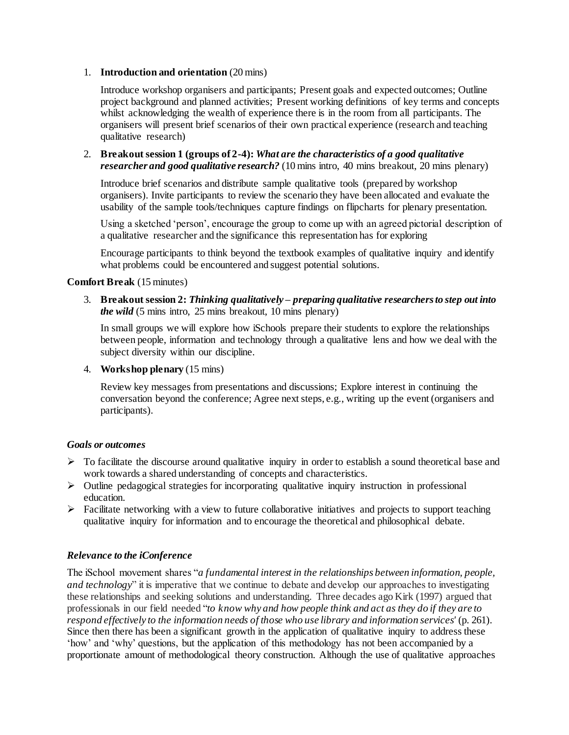#### 1. **Introduction and orientation** (20 mins)

Introduce workshop organisers and participants; Present goals and expected outcomes; Outline project background and planned activities; Present working definitions of key terms and concepts whilst acknowledging the wealth of experience there is in the room from all participants. The organisers will present brief scenarios of their own practical experience (research and teaching qualitative research)

### 2. **Breakout session 1 (groups of 2-4):** *What are the characteristics of a good qualitative researcher and good qualitative research?* (10 mins intro, 40 mins breakout, 20 mins plenary)

Introduce brief scenarios and distribute sample qualitative tools (prepared by workshop organisers). Invite participants to review the scenario they have been allocated and evaluate the usability of the sample tools/techniques capture findings on flipcharts for plenary presentation.

Using a sketched 'person', encourage the group to come up with an agreed pictorial description of a qualitative researcher and the significance this representation has for exploring

Encourage participants to think beyond the textbook examples of qualitative inquiry and identify what problems could be encountered and suggest potential solutions.

### **Comfort Break** (15 minutes)

3. **Breakout session 2:** *Thinking qualitatively – preparing qualitative researchers to step out into the wild* (5 mins intro, 25 mins breakout, 10 mins plenary)

In small groups we will explore how iSchools prepare their students to explore the relationships between people, information and technology through a qualitative lens and how we deal with the subject diversity within our discipline.

4. **Workshop plenary** (15 mins)

Review key messages from presentations and discussions; Explore interest in continuing the conversation beyond the conference; Agree next steps, e.g., writing up the event (organisers and participants).

#### *Goals or outcomes*

- $\triangleright$  To facilitate the discourse around qualitative inquiry in order to establish a sound theoretical base and work towards a shared understanding of concepts and characteristics.
- $\triangleright$  Outline pedagogical strategies for incorporating qualitative inquiry instruction in professional education.
- $\triangleright$  Facilitate networking with a view to future collaborative initiatives and projects to support teaching qualitative inquiry for information and to encourage the theoretical and philosophical debate.

### *Relevance to the iConference*

The iSchool movement shares "*a fundamental interest in the relationships between information, people, and technology*" it is imperative that we continue to debate and develop our approaches to investigating these relationships and seeking solutions and understanding. Three decades ago Kirk (1997) argued that professionals in our field needed "*to know why and how people think and act as they do if they are to respond effectively to the information needs of those who use library and information services'* (p. 261). Since then there has been a significant growth in the application of qualitative inquiry to address these 'how' and 'why' questions, but the application of this methodology has not been accompanied by a proportionate amount of methodological theory construction. Although the use of qualitative approaches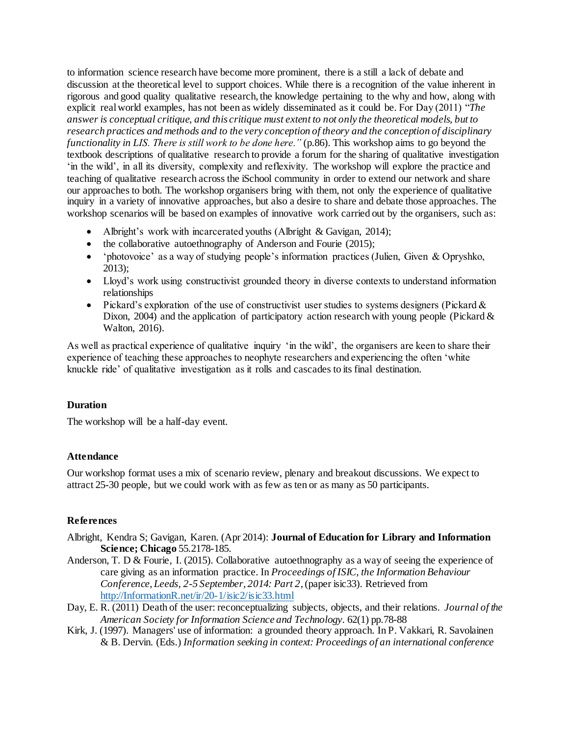to information science research have become more prominent, there is a still a lack of debate and discussion at the theoretical level to support choices. While there is a recognition of the value inherent in rigorous and good quality qualitative research, the knowledge pertaining to the why and how, along with explicit real world examples, has not been as widely disseminated as it could be. For Day (2011) "*The answer is conceptual critique, and this critique must extent to not only the theoretical models, but to research practices and methods and to the very conception of theory and the conception of disciplinary functionality in LIS. There is still work to be done here.*" (p.86). This workshop aims to go beyond the textbook descriptions of qualitative research to provide a forum for the sharing of qualitative investigation 'in the wild', in all its diversity, complexity and reflexivity. The workshop will explore the practice and teaching of qualitative research across the iSchool community in order to extend our network and share our approaches to both. The workshop organisers bring with them, not only the experience of qualitative inquiry in a variety of innovative approaches, but also a desire to share and debate those approaches. The workshop scenarios will be based on examples of innovative work carried out by the organisers, such as:

- Albright's work with incarcerated youths (Albright & Gavigan, 2014);
- the collaborative autoethnography of Anderson and Fourie (2015);
- 'photovoice' as a way of studying people's information practices (Julien, Given & Opryshko, 2013);
- Lloyd's work using constructivist grounded theory in diverse contexts to understand information relationships
- Pickard's exploration of the use of constructivist user studies to systems designers (Pickard  $\&$ Dixon, 2004) and the application of participatory action research with young people (Pickard  $\&$ Walton, 2016).

As well as practical experience of qualitative inquiry 'in the wild', the organisers are keen to share their experience of teaching these approaches to neophyte researchers and experiencing the often 'white knuckle ride' of qualitative investigation as it rolls and cascades to its final destination.

# **Duration**

The workshop will be a half-day event.

### **Attendance**

Our workshop format uses a mix of scenario review, plenary and breakout discussions. We expect to attract 25-30 people, but we could work with as few as ten or as many as 50 participants.

### **References**

- Albright, Kendra S; Gavigan, Karen. (Apr 2014): **Journal of Education for Library and Information Science; Chicago** 55.2178-185.
- Anderson, T. D & Fourie, I. (2015). Collaborative autoethnography as a way of seeing the experience of care giving as an information practice. In *Proceedings of ISIC, the Information Behaviour Conference, Leeds, 2-5 September, 2014: Part 2*, (paper isic33). Retrieved from [http://InformationR.net/ir/20-1/isic2/isic33.html](http://informationr.net/ir/20-1/isic2/isic33.html)
- Day, E. R. (2011) Death of the user: reconceptualizing subjects, objects, and their relations. *Journal of the American Society for Information Science and Technology.* 62(1) pp.78-88
- Kirk, J. (1997). Managers' use of information: a grounded theory approach. In P. Vakkari, R. Savolainen & B. Dervin. (Eds.) *Information seeking in context: Proceedings of an international conference*